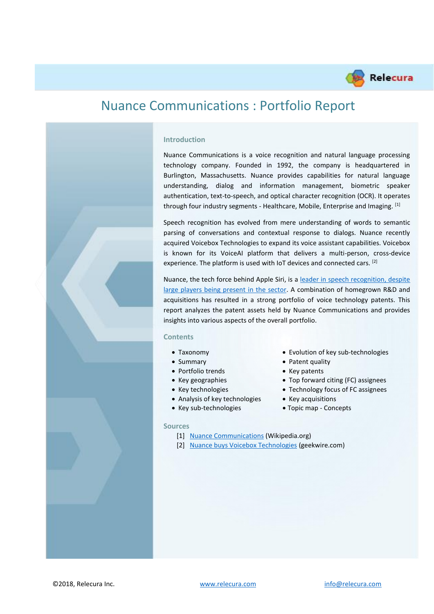

# Nuance Communications : Portfolio Report

### **Introduction**

Nuance Communications is a voice recognition and natural language processing technology company. Founded in 1992, the company is headquartered in Burlington, Massachusetts. Nuance provides capabilities for natural language understanding, dialog and information management, biometric speaker authentication, text-to-speech, and optical character recognition (OCR). It operates through four industry segments - Healthcare, Mobile, Enterprise and Imaging. [1]

Speech recognition has evolved from mere understanding of words to semantic parsing of conversations and contextual response to dialogs. Nuance recently acquired Voicebox Technologies to expand its voice assistant capabilities. Voicebox is known for its VoiceAI platform that delivers a multi-person, cross-device experience. The platform is used with IoT devices and connected cars. [2]

Nuance, the tech force behind Apple Siri, is a [leader in speech recognition, despite](https://www.iam-media.com/patents/strongest-speech-recognition-portfolio-specialist-operator-nuance-holds-big-tech)  [large players being present in the sector.](https://www.iam-media.com/patents/strongest-speech-recognition-portfolio-specialist-operator-nuance-holds-big-tech) A combination of homegrown R&D and acquisitions has resulted in a strong portfolio of voice technology patents. This report analyzes the patent assets held by Nuance Communications and provides insights into various aspects of the overall portfolio.

#### **Contents**

- Taxonomy Evolution of key sub-technologies
- Summary Patent quality
- Portfolio trends Key patents
- Key geographies Top forward citing (FC) assignees
- Key technologies Technology focus of FC assignees
- Analysis of key technologies Key acquisitions
- Key sub-technologies Topic map Concepts

#### **Sources**

- [1] [Nuance Communications](https://en.wikipedia.org/wiki/Nuance_Communications) (Wikipedia.org)
- [2] [Nuance buys Voicebox Technologies](https://www.geekwire.com/2018/nuance-communications-buys-voicebox-technologies-scooping-another-seattle-area-company/) (geekwire.com)

©2018, Relecura Inc. [www.relecura.com](http://www.relecura.com/) [info@relecura.com](mailto:info@relecura.com)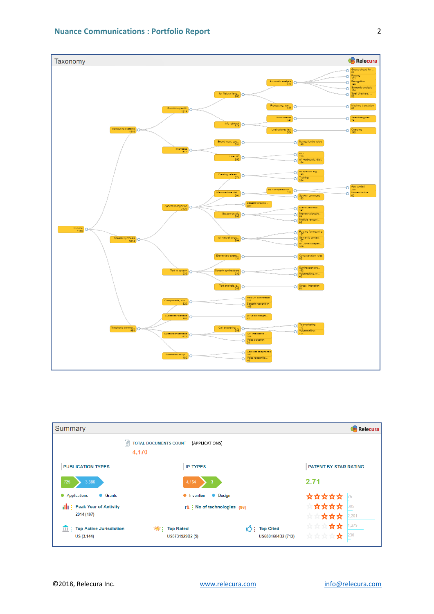

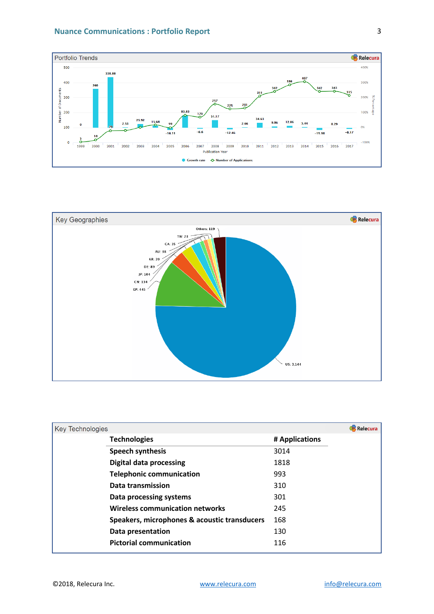



| <b>Key Technologies</b>                      | <b>Relecura</b> |
|----------------------------------------------|-----------------|
| <b>Technologies</b>                          | # Applications  |
| <b>Speech synthesis</b>                      | 3014            |
| <b>Digital data processing</b>               | 1818            |
| <b>Telephonic communication</b>              | 993             |
| Data transmission                            | 310             |
| Data processing systems                      | 301             |
| <b>Wireless communication networks</b>       | 245             |
| Speakers, microphones & acoustic transducers | 168             |
| Data presentation                            | 130             |
| <b>Pictorial communication</b>               | 116             |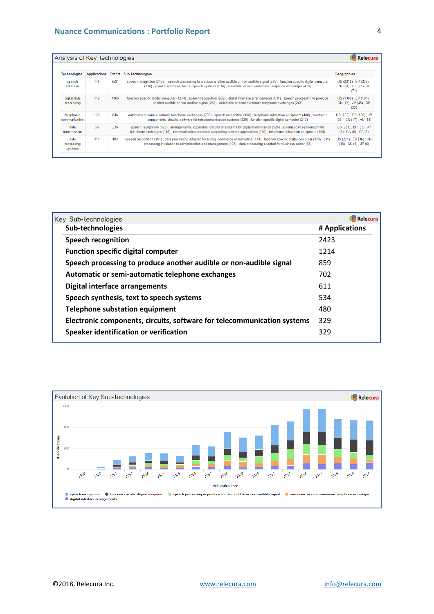| Analysis of Key Technologies                                       |                                                                                                                                                                                                                                                 |      |                                                                                                                                                                                                                                                                      | :Relecura                                             |  |  |
|--------------------------------------------------------------------|-------------------------------------------------------------------------------------------------------------------------------------------------------------------------------------------------------------------------------------------------|------|----------------------------------------------------------------------------------------------------------------------------------------------------------------------------------------------------------------------------------------------------------------------|-------------------------------------------------------|--|--|
| <b>Technologies</b><br><b>Applications Grants Sub Technologies</b> |                                                                                                                                                                                                                                                 |      |                                                                                                                                                                                                                                                                      | Geographies                                           |  |  |
| speech<br>synthesis                                                | 445                                                                                                                                                                                                                                             | 2531 | speech recognition (2423), speech processing to produce another audible or non-audible signal (859), function specific digital computer<br>(730), speech synthesis, text to speech systems (534), automatic or semi-automatic telephone exchanges (425)              | US (2318), EP (308),<br>CN (84), DE (71), JP<br>(71)  |  |  |
| digital data<br>processing                                         | 419<br>1365<br>another audible or non-audible signal (262), automatic or semi-automatic telephone exchanges (247)<br>846<br>130<br>components, circuits, software for telecommunication systems (329), function specific digital computer (217) |      | function specific digital computer (1214), speech recognition (959), digital interface arrangements (611), speech processing to produce                                                                                                                              | US (1386), EP (184),<br>CN (75), JP (45), DE<br>(22)  |  |  |
| telephonic<br>communication                                        |                                                                                                                                                                                                                                                 |      | automatic or semi-automatic telephone exchanges (702), speech recognition (488), telephone substation equipment (480), electronic                                                                                                                                    | US (762), EP (100), JP<br>(26), CN (17), AU (14)      |  |  |
| 65<br>236<br>data<br>transmission                                  |                                                                                                                                                                                                                                                 |      | speech recognition (128), arrangements, apparatus, circuits or systems for digital transmission (124), automatic or semi-automatic<br>telephone exchanges (115), communication protocols supporting network applications (110), telephone substation equipment (104) | US (233), EP (33), JP<br>$(9)$ , CN $(8)$ , CA $(6)$  |  |  |
| data<br>processing<br>systems                                      | 111                                                                                                                                                                                                                                             | 184  | speech recognition (151), data processing adapted for billing, commerce or marketing (144), function specific digital computer (110), data<br>processing in relation to administration and management (108), data processing adapted for business sector (87)        | US (221), EP (36), CN<br>$(18)$ , AU $(6)$ , JP $(6)$ |  |  |

| Key Sub-technologies                                                    | Relecura       |
|-------------------------------------------------------------------------|----------------|
| Sub-technologies                                                        | # Applications |
| <b>Speech recognition</b>                                               | 2423           |
| <b>Function specific digital computer</b>                               | 1214           |
| Speech processing to produce another audible or non-audible signal      | 859            |
| Automatic or semi-automatic telephone exchanges                         | 702            |
| Digital interface arrangements                                          | 611            |
| Speech synthesis, text to speech systems                                | 534            |
| <b>Telephone substation equipment</b>                                   | 480            |
| Electronic components, circuits, software for telecommunication systems | 329            |
| Speaker identification or verification                                  | 329            |
|                                                                         |                |

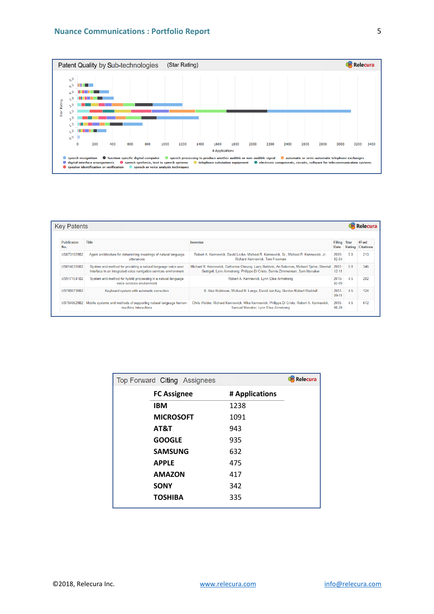

| <b>Key Patents</b><br>Relecura |                                                                                                                                   |                                                                                                                                                                             |                            |        |                          |  |
|--------------------------------|-----------------------------------------------------------------------------------------------------------------------------------|-----------------------------------------------------------------------------------------------------------------------------------------------------------------------------|----------------------------|--------|--------------------------|--|
|                                |                                                                                                                                   |                                                                                                                                                                             |                            |        |                          |  |
| Publicaton<br>No.              | <b>Title</b>                                                                                                                      | Inventor                                                                                                                                                                    | Filing Star<br><b>Date</b> | Rating | #Fwd<br><b>Citations</b> |  |
| US8731929B2                    | Agent architecture for determining meanings of natural language<br>utterances                                                     | Robert A. Kennewick, David Locke, Michael R. Kennewick, Sr., Michael R. Kennewick, Jr.,<br><b>Richard Kennewick, Tom Freeman</b>                                            | 2009-<br>$02 - 04$         | 5.0    | 213                      |  |
| US8140335B2                    | System and method for providing a natural language voice user<br>interface in an integrated voice navigation services environment | Michael R. Kennewick, Catherine Cheung, Larry Baldwin, Ari Salomon, Michael Tjalve, Sheetal<br>Guttigoli, Lynn Armstrong, Philippe Di Cristo, Bernie Zimmerman, Sam Menaker | $2007 -$<br>$12 - 11$      | 50     | 346                      |  |
| US9171541B2                    | System and method for hybrid processing in a natural language<br>voice services environment                                       | Robert A. Kennewick, Lynn Elise Armstrong                                                                                                                                   | $2010 -$<br>$02 - 09$      | 4.5    | 202                      |  |
| US7880730B2                    | Keyboard system with automatic correction                                                                                         | B. Alex Robinson, Michael R. Longe, David Jon Kay, Gordon Robert Waddell                                                                                                    | $2007 -$<br>$09-11$        | 4.5    | 124                      |  |
|                                | US7949529B2   Mobile systems and methods of supporting natural language human-<br>machine interactions                            | Chris Weider, Richard Kennewick, Mike Kennewick, Philippe Di Cristo, Robert A. Kennewick,<br>Samuel Menaker, Lynn Elise Armstrong                                           | $2005 -$<br>08-29          | 4.5    | 612                      |  |

| <b>Relecura</b><br>Top Forward Citing Assignees |                    |                |  |  |
|-------------------------------------------------|--------------------|----------------|--|--|
|                                                 | <b>FC Assignee</b> | # Applications |  |  |
| <b>IBM</b>                                      |                    | 1238           |  |  |
|                                                 | <b>MICROSOFT</b>   | 1091           |  |  |
| AT&T                                            |                    | 943            |  |  |
| <b>GOOGLE</b>                                   |                    | 935            |  |  |
|                                                 | <b>SAMSUNG</b>     | 632            |  |  |
| <b>APPLE</b>                                    |                    | 475            |  |  |
| <b>AMAZON</b>                                   |                    | 417            |  |  |
| <b>SONY</b>                                     |                    | 342            |  |  |
| <b>TOSHIBA</b>                                  |                    | 335            |  |  |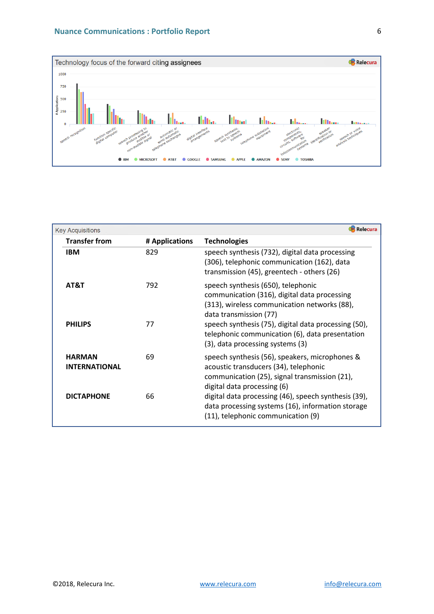

| <b>Key Acquisitions</b>               |                | Relecura                                                                                                                                                                                                             |
|---------------------------------------|----------------|----------------------------------------------------------------------------------------------------------------------------------------------------------------------------------------------------------------------|
| <b>Transfer from</b>                  | # Applications | <b>Technologies</b>                                                                                                                                                                                                  |
| <b>IBM</b>                            | 829            | speech synthesis (732), digital data processing<br>(306), telephonic communication (162), data<br>transmission (45), greentech - others (26)                                                                         |
| AT&T<br><b>PHILIPS</b>                | 792<br>77      | speech synthesis (650), telephonic<br>communication (316), digital data processing<br>(313), wireless communication networks (88),<br>data transmission (77)<br>speech synthesis (75), digital data processing (50), |
|                                       |                | telephonic communication (6), data presentation<br>(3), data processing systems (3)                                                                                                                                  |
| <b>HARMAN</b><br><b>INTERNATIONAL</b> | 69             | speech synthesis (56), speakers, microphones &<br>acoustic transducers (34), telephonic<br>communication (25), signal transmission (21),<br>digital data processing (6)                                              |
| <b>DICTAPHONE</b>                     | 66             | digital data processing (46), speech synthesis (39),<br>data processing systems (16), information storage<br>(11), telephonic communication (9)                                                                      |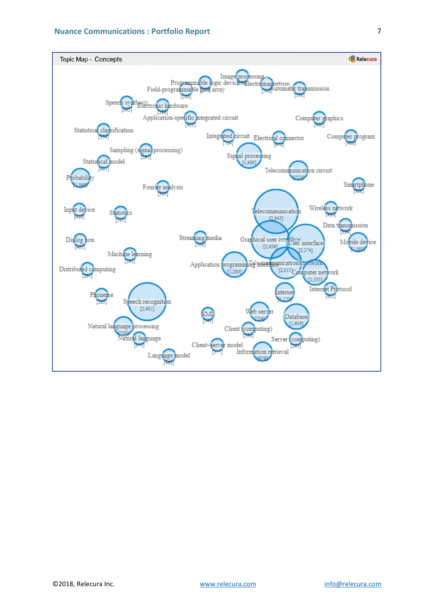